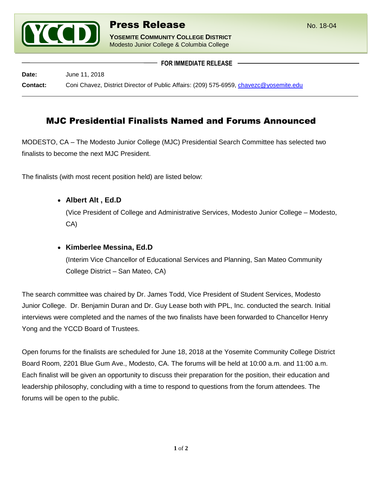

**YOSEMITE COMMUNITY COLLEGE DISTRICT** Modesto Junior College & Columbia College

**FOR IMMEDIATE RELEASE**

**Date:** June 11, 2018 **Contact:** Coni Chavez, District Director of Public Affairs: (209) 575-6959, [chavezc@yosemite.edu](mailto:chavezc@yosemite.edu)

# MJC Presidential Finalists Named and Forums Announced

MODESTO, CA – The Modesto Junior College (MJC) Presidential Search Committee has selected two finalists to become the next MJC President.

The finalists (with most recent position held) are listed below:

**Albert Alt , Ed.D**

(Vice President of College and Administrative Services, Modesto Junior College – Modesto, CA)

**Kimberlee Messina, Ed.D**

(Interim Vice Chancellor of Educational Services and Planning, San Mateo Community College District – San Mateo, CA)

The search committee was chaired by Dr. James Todd, Vice President of Student Services, Modesto Junior College. Dr. Benjamin Duran and Dr. Guy Lease both with PPL, Inc. conducted the search. Initial interviews were completed and the names of the two finalists have been forwarded to Chancellor Henry Yong and the YCCD Board of Trustees.

Open forums for the finalists are scheduled for June 18, 2018 at the Yosemite Community College District Board Room, 2201 Blue Gum Ave., Modesto, CA. The forums will be held at 10:00 a.m. and 11:00 a.m. Each finalist will be given an opportunity to discuss their preparation for the position, their education and leadership philosophy, concluding with a time to respond to questions from the forum attendees. The forums will be open to the public.